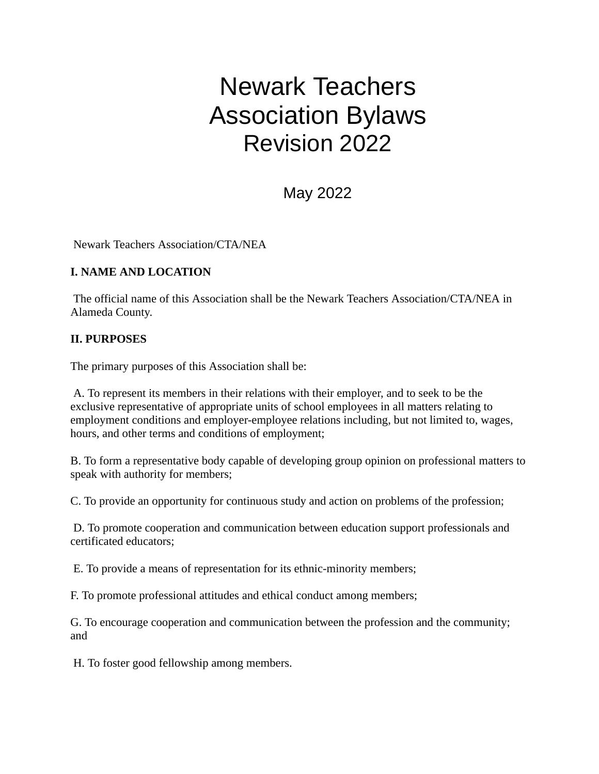# Newark Teachers Association Bylaws Revision 2022

May 2022

Newark Teachers Association/CTA/NEA

# **I. NAME AND LOCATION**

The official name of this Association shall be the Newark Teachers Association/CTA/NEA in Alameda County.

## **II. PURPOSES**

The primary purposes of this Association shall be:

A. To represent its members in their relations with their employer, and to seek to be the exclusive representative of appropriate units of school employees in all matters relating to employment conditions and employer-employee relations including, but not limited to, wages, hours, and other terms and conditions of employment;

B. To form a representative body capable of developing group opinion on professional matters to speak with authority for members;

C. To provide an opportunity for continuous study and action on problems of the profession;

D. To promote cooperation and communication between education support professionals and certificated educators;

E. To provide a means of representation for its ethnic-minority members;

F. To promote professional attitudes and ethical conduct among members;

G. To encourage cooperation and communication between the profession and the community; and

H. To foster good fellowship among members.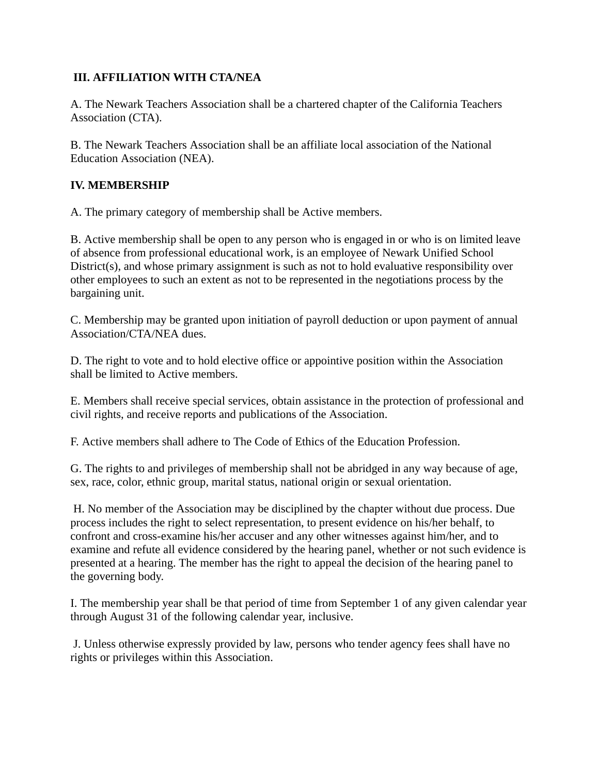# **III. AFFILIATION WITH CTA/NEA**

A. The Newark Teachers Association shall be a chartered chapter of the California Teachers Association (CTA).

B. The Newark Teachers Association shall be an affiliate local association of the National Education Association (NEA).

# **IV. MEMBERSHIP**

A. The primary category of membership shall be Active members.

B. Active membership shall be open to any person who is engaged in or who is on limited leave of absence from professional educational work, is an employee of Newark Unified School District(s), and whose primary assignment is such as not to hold evaluative responsibility over other employees to such an extent as not to be represented in the negotiations process by the bargaining unit.

C. Membership may be granted upon initiation of payroll deduction or upon payment of annual Association/CTA/NEA dues.

D. The right to vote and to hold elective office or appointive position within the Association shall be limited to Active members.

E. Members shall receive special services, obtain assistance in the protection of professional and civil rights, and receive reports and publications of the Association.

F. Active members shall adhere to The Code of Ethics of the Education Profession.

G. The rights to and privileges of membership shall not be abridged in any way because of age, sex, race, color, ethnic group, marital status, national origin or sexual orientation.

H. No member of the Association may be disciplined by the chapter without due process. Due process includes the right to select representation, to present evidence on his/her behalf, to confront and cross-examine his/her accuser and any other witnesses against him/her, and to examine and refute all evidence considered by the hearing panel, whether or not such evidence is presented at a hearing. The member has the right to appeal the decision of the hearing panel to the governing body.

I. The membership year shall be that period of time from September 1 of any given calendar year through August 31 of the following calendar year, inclusive.

J. Unless otherwise expressly provided by law, persons who tender agency fees shall have no rights or privileges within this Association.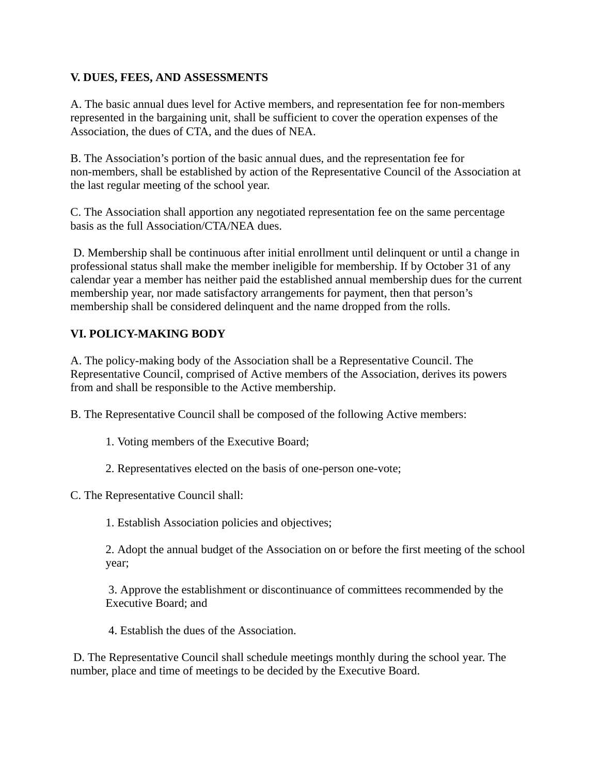# **V. DUES, FEES, AND ASSESSMENTS**

A. The basic annual dues level for Active members, and representation fee for non-members represented in the bargaining unit, shall be sufficient to cover the operation expenses of the Association, the dues of CTA, and the dues of NEA.

B. The Association's portion of the basic annual dues, and the representation fee for non-members, shall be established by action of the Representative Council of the Association at the last regular meeting of the school year.

C. The Association shall apportion any negotiated representation fee on the same percentage basis as the full Association/CTA/NEA dues.

D. Membership shall be continuous after initial enrollment until delinquent or until a change in professional status shall make the member ineligible for membership. If by October 31 of any calendar year a member has neither paid the established annual membership dues for the current membership year, nor made satisfactory arrangements for payment, then that person's membership shall be considered delinquent and the name dropped from the rolls.

# **VI. POLICY-MAKING BODY**

A. The policy-making body of the Association shall be a Representative Council. The Representative Council, comprised of Active members of the Association, derives its powers from and shall be responsible to the Active membership.

B. The Representative Council shall be composed of the following Active members:

- 1. Voting members of the Executive Board;
- 2. Representatives elected on the basis of one-person one-vote;

C. The Representative Council shall:

1. Establish Association policies and objectives;

2. Adopt the annual budget of the Association on or before the first meeting of the school year;

3. Approve the establishment or discontinuance of committees recommended by the Executive Board; and

4. Establish the dues of the Association.

D. The Representative Council shall schedule meetings monthly during the school year. The number, place and time of meetings to be decided by the Executive Board.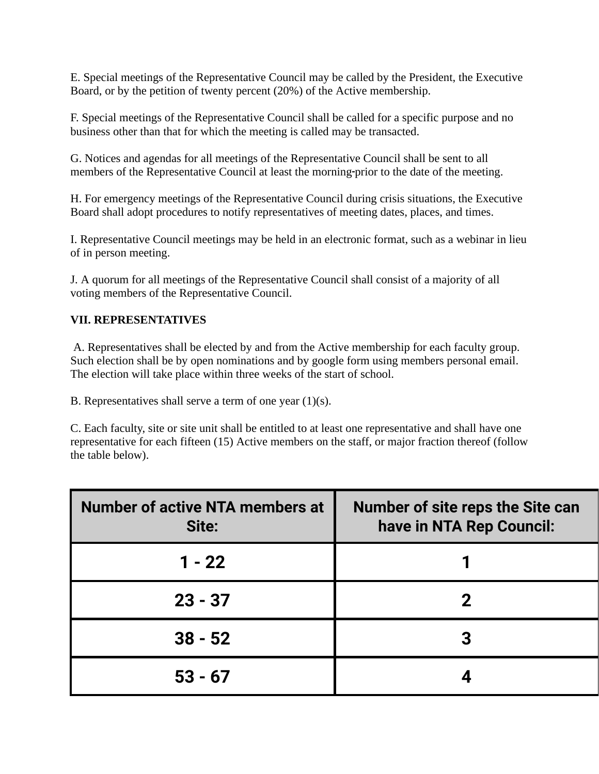E. Special meetings of the Representative Council may be called by the President, the Executive Board, or by the petition of twenty percent (20%) of the Active membership.

F. Special meetings of the Representative Council shall be called for a specific purpose and no business other than that for which the meeting is called may be transacted.

G. Notices and agendas for all meetings of the Representative Council shall be sent to all members of the Representative Council at least the morning prior to the date of the meeting.

H. For emergency meetings of the Representative Council during crisis situations, the Executive Board shall adopt procedures to notify representatives of meeting dates, places, and times.

I. Representative Council meetings may be held in an electronic format, such as a webinar in lieu of in person meeting.

J. A quorum for all meetings of the Representative Council shall consist of a majority of all voting members of the Representative Council.

## **VII. REPRESENTATIVES**

A. Representatives shall be elected by and from the Active membership for each faculty group. Such election shall be by open nominations and by google form using members personal email. The election will take place within three weeks of the start of school.

B. Representatives shall serve a term of one year (1)(s).

C. Each faculty, site or site unit shall be entitled to at least one representative and shall have one representative for each fifteen (15) Active members on the staff, or major fraction thereof (follow the table below).

| <b>Number of active NTA members at</b><br>Site: | <b>Number of site reps the Site can</b><br>have in NTA Rep Council: |
|-------------------------------------------------|---------------------------------------------------------------------|
| $1 - 22$                                        |                                                                     |
| $23 - 37$                                       |                                                                     |
| $38 - 52$                                       |                                                                     |
| $53 - 67$                                       |                                                                     |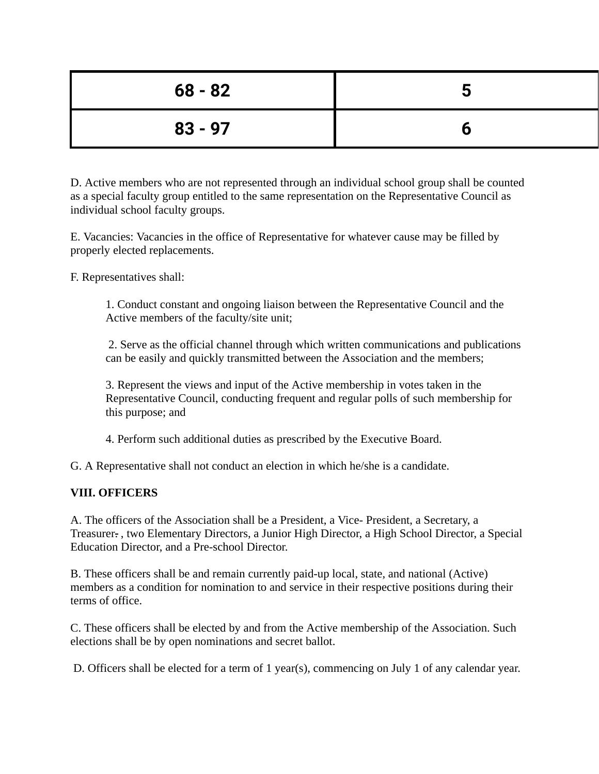| $68 - 82$ | $\overline{\phantom{a}}$ |
|-----------|--------------------------|
| $83 - 97$ |                          |

D. Active members who are not represented through an individual school group shall be counted as a special faculty group entitled to the same representation on the Representative Council as individual school faculty groups.

E. Vacancies: Vacancies in the office of Representative for whatever cause may be filled by properly elected replacements.

F. Representatives shall:

1. Conduct constant and ongoing liaison between the Representative Council and the Active members of the faculty/site unit;

2. Serve as the official channel through which written communications and publications can be easily and quickly transmitted between the Association and the members;

3. Represent the views and input of the Active membership in votes taken in the Representative Council, conducting frequent and regular polls of such membership for this purpose; and

4. Perform such additional duties as prescribed by the Executive Board.

G. A Representative shall not conduct an election in which he/she is a candidate.

## **VIII. OFFICERS**

A. The officers of the Association shall be a President, a Vice- President, a Secretary, a Treasurer. , two Elementary Directors, a Junior High Director, a High School Director, a Special Education Director, and a Pre-school Director.

B. These officers shall be and remain currently paid-up local, state, and national (Active) members as a condition for nomination to and service in their respective positions during their terms of office.

C. These officers shall be elected by and from the Active membership of the Association. Such elections shall be by open nominations and secret ballot.

D. Officers shall be elected for a term of 1 year(s), commencing on July 1 of any calendar year.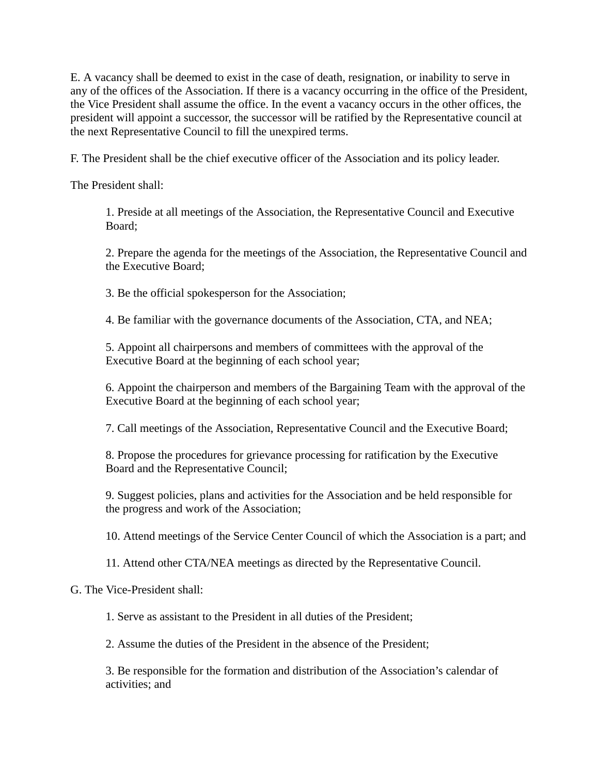E. A vacancy shall be deemed to exist in the case of death, resignation, or inability to serve in any of the offices of the Association. If there is a vacancy occurring in the office of the President, the Vice President shall assume the office. In the event a vacancy occurs in the other offices, the president will appoint a successor, the successor will be ratified by the Representative council at the next Representative Council to fill the unexpired terms.

F. The President shall be the chief executive officer of the Association and its policy leader.

The President shall:

1. Preside at all meetings of the Association, the Representative Council and Executive Board;

2. Prepare the agenda for the meetings of the Association, the Representative Council and the Executive Board;

3. Be the official spokesperson for the Association;

4. Be familiar with the governance documents of the Association, CTA, and NEA;

5. Appoint all chairpersons and members of committees with the approval of the Executive Board at the beginning of each school year;

6. Appoint the chairperson and members of the Bargaining Team with the approval of the Executive Board at the beginning of each school year;

7. Call meetings of the Association, Representative Council and the Executive Board;

8. Propose the procedures for grievance processing for ratification by the Executive Board and the Representative Council;

9. Suggest policies, plans and activities for the Association and be held responsible for the progress and work of the Association;

10. Attend meetings of the Service Center Council of which the Association is a part; and

11. Attend other CTA/NEA meetings as directed by the Representative Council.

## G. The Vice-President shall:

1. Serve as assistant to the President in all duties of the President;

2. Assume the duties of the President in the absence of the President;

3. Be responsible for the formation and distribution of the Association's calendar of activities; and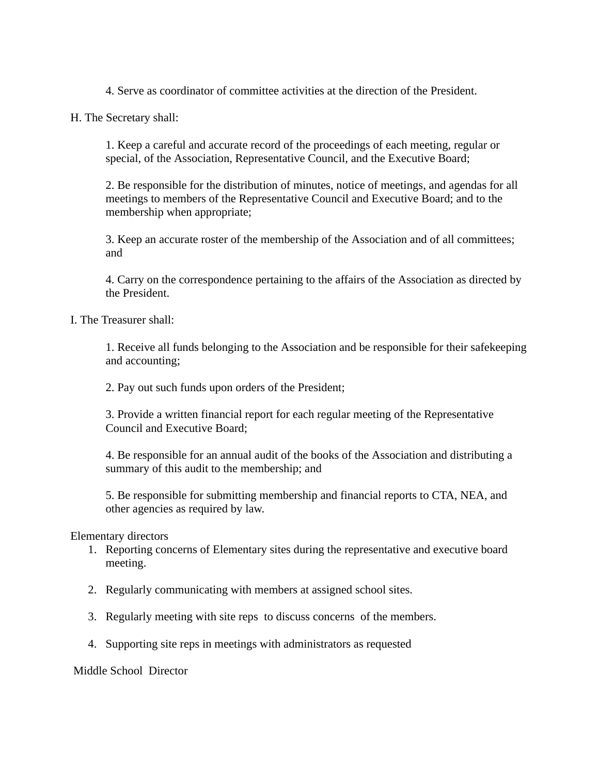4. Serve as coordinator of committee activities at the direction of the President.

H. The Secretary shall:

1. Keep a careful and accurate record of the proceedings of each meeting, regular or special, of the Association, Representative Council, and the Executive Board;

2. Be responsible for the distribution of minutes, notice of meetings, and agendas for all meetings to members of the Representative Council and Executive Board; and to the membership when appropriate;

3. Keep an accurate roster of the membership of the Association and of all committees; and

4. Carry on the correspondence pertaining to the affairs of the Association as directed by the President.

I. The Treasurer shall:

1. Receive all funds belonging to the Association and be responsible for their safekeeping and accounting;

2. Pay out such funds upon orders of the President;

3. Provide a written financial report for each regular meeting of the Representative Council and Executive Board;

4. Be responsible for an annual audit of the books of the Association and distributing a summary of this audit to the membership; and

5. Be responsible for submitting membership and financial reports to CTA, NEA, and other agencies as required by law.

Elementary directors

- 1. Reporting concerns of Elementary sites during the representative and executive board meeting.
- 2. Regularly communicating with members at assigned school sites.
- 3. Regularly meeting with site reps to discuss concerns of the members.
- 4. Supporting site reps in meetings with administrators as requested

Middle School Director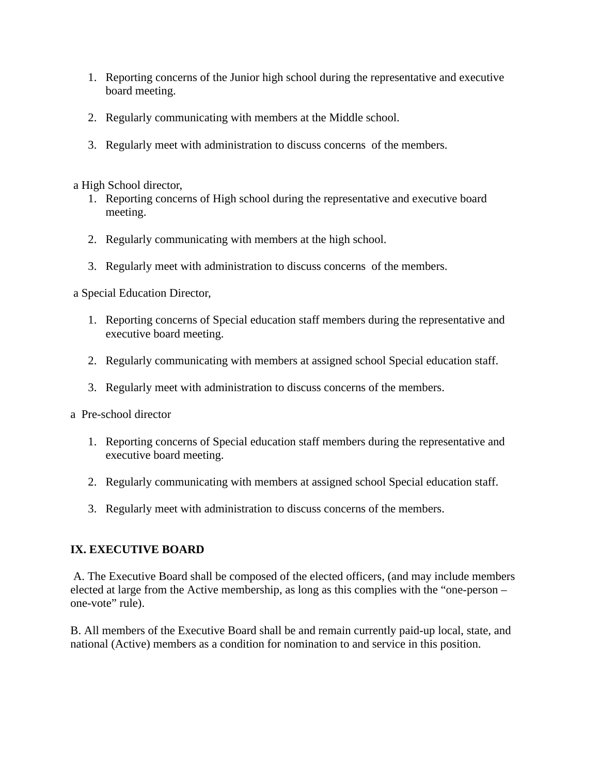- 1. Reporting concerns of the Junior high school during the representative and executive board meeting.
- 2. Regularly communicating with members at the Middle school.
- 3. Regularly meet with administration to discuss concerns of the members.

a High School director,

- 1. Reporting concerns of High school during the representative and executive board meeting.
- 2. Regularly communicating with members at the high school.
- 3. Regularly meet with administration to discuss concerns of the members.

a Special Education Director,

- 1. Reporting concerns of Special education staff members during the representative and executive board meeting.
- 2. Regularly communicating with members at assigned school Special education staff.
- 3. Regularly meet with administration to discuss concerns of the members.
- a Pre-school director
	- 1. Reporting concerns of Special education staff members during the representative and executive board meeting.
	- 2. Regularly communicating with members at assigned school Special education staff.
	- 3. Regularly meet with administration to discuss concerns of the members.

#### **IX. EXECUTIVE BOARD**

A. The Executive Board shall be composed of the elected officers, (and may include members elected at large from the Active membership, as long as this complies with the "one-person – one-vote" rule).

B. All members of the Executive Board shall be and remain currently paid-up local, state, and national (Active) members as a condition for nomination to and service in this position.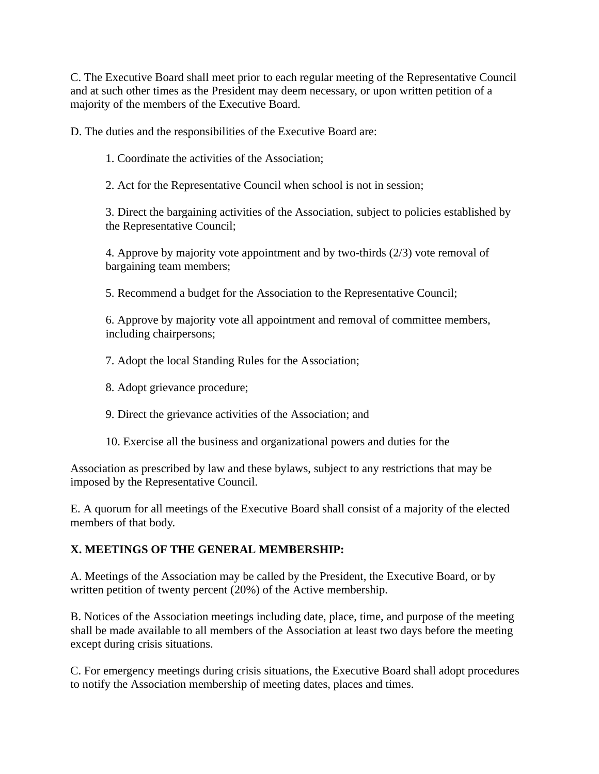C. The Executive Board shall meet prior to each regular meeting of the Representative Council and at such other times as the President may deem necessary, or upon written petition of a majority of the members of the Executive Board.

D. The duties and the responsibilities of the Executive Board are:

1. Coordinate the activities of the Association;

2. Act for the Representative Council when school is not in session;

3. Direct the bargaining activities of the Association, subject to policies established by the Representative Council;

4. Approve by majority vote appointment and by two-thirds (2/3) vote removal of bargaining team members;

5. Recommend a budget for the Association to the Representative Council;

6. Approve by majority vote all appointment and removal of committee members, including chairpersons;

7. Adopt the local Standing Rules for the Association;

8. Adopt grievance procedure;

- 9. Direct the grievance activities of the Association; and
- 10. Exercise all the business and organizational powers and duties for the

Association as prescribed by law and these bylaws, subject to any restrictions that may be imposed by the Representative Council.

E. A quorum for all meetings of the Executive Board shall consist of a majority of the elected members of that body.

# **X. MEETINGS OF THE GENERAL MEMBERSHIP:**

A. Meetings of the Association may be called by the President, the Executive Board, or by written petition of twenty percent (20%) of the Active membership.

B. Notices of the Association meetings including date, place, time, and purpose of the meeting shall be made available to all members of the Association at least two days before the meeting except during crisis situations.

C. For emergency meetings during crisis situations, the Executive Board shall adopt procedures to notify the Association membership of meeting dates, places and times.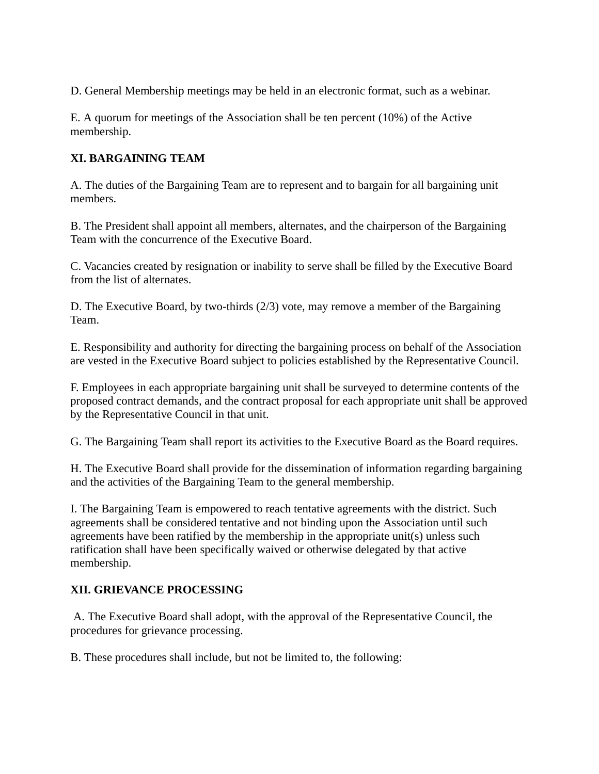D. General Membership meetings may be held in an electronic format, such as a webinar.

E. A quorum for meetings of the Association shall be ten percent (10%) of the Active membership.

# **XI. BARGAINING TEAM**

A. The duties of the Bargaining Team are to represent and to bargain for all bargaining unit members.

B. The President shall appoint all members, alternates, and the chairperson of the Bargaining Team with the concurrence of the Executive Board.

C. Vacancies created by resignation or inability to serve shall be filled by the Executive Board from the list of alternates.

D. The Executive Board, by two-thirds (2/3) vote, may remove a member of the Bargaining Team.

E. Responsibility and authority for directing the bargaining process on behalf of the Association are vested in the Executive Board subject to policies established by the Representative Council.

F. Employees in each appropriate bargaining unit shall be surveyed to determine contents of the proposed contract demands, and the contract proposal for each appropriate unit shall be approved by the Representative Council in that unit.

G. The Bargaining Team shall report its activities to the Executive Board as the Board requires.

H. The Executive Board shall provide for the dissemination of information regarding bargaining and the activities of the Bargaining Team to the general membership.

I. The Bargaining Team is empowered to reach tentative agreements with the district. Such agreements shall be considered tentative and not binding upon the Association until such agreements have been ratified by the membership in the appropriate unit(s) unless such ratification shall have been specifically waived or otherwise delegated by that active membership.

## **XII. GRIEVANCE PROCESSING**

A. The Executive Board shall adopt, with the approval of the Representative Council, the procedures for grievance processing.

B. These procedures shall include, but not be limited to, the following: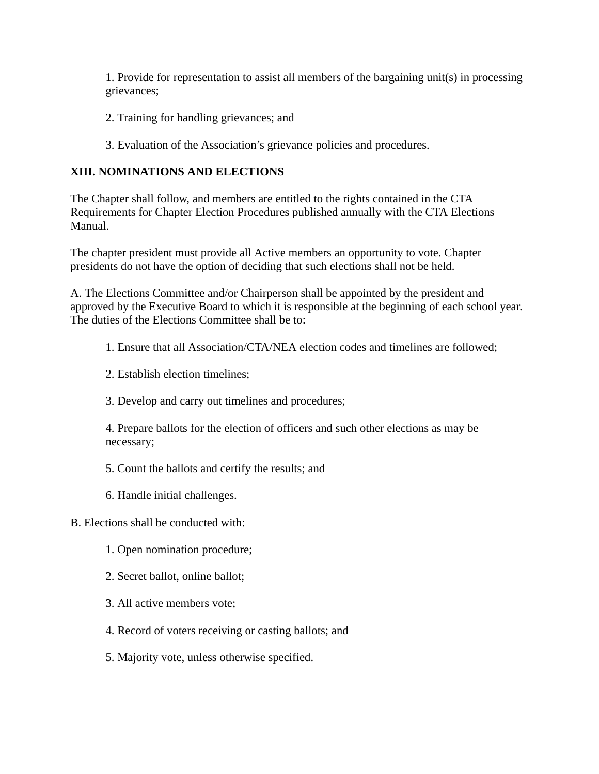1. Provide for representation to assist all members of the bargaining unit(s) in processing grievances;

- 2. Training for handling grievances; and
- 3. Evaluation of the Association's grievance policies and procedures.

### **XIII. NOMINATIONS AND ELECTIONS**

The Chapter shall follow, and members are entitled to the rights contained in the CTA Requirements for Chapter Election Procedures published annually with the CTA Elections Manual.

The chapter president must provide all Active members an opportunity to vote. Chapter presidents do not have the option of deciding that such elections shall not be held.

A. The Elections Committee and/or Chairperson shall be appointed by the president and approved by the Executive Board to which it is responsible at the beginning of each school year. The duties of the Elections Committee shall be to:

- 1. Ensure that all Association/CTA/NEA election codes and timelines are followed;
- 2. Establish election timelines;
- 3. Develop and carry out timelines and procedures;

4. Prepare ballots for the election of officers and such other elections as may be necessary;

- 5. Count the ballots and certify the results; and
- 6. Handle initial challenges.
- B. Elections shall be conducted with:
	- 1. Open nomination procedure;
	- 2. Secret ballot, online ballot;
	- 3. All active members vote;
	- 4. Record of voters receiving or casting ballots; and
	- 5. Majority vote, unless otherwise specified.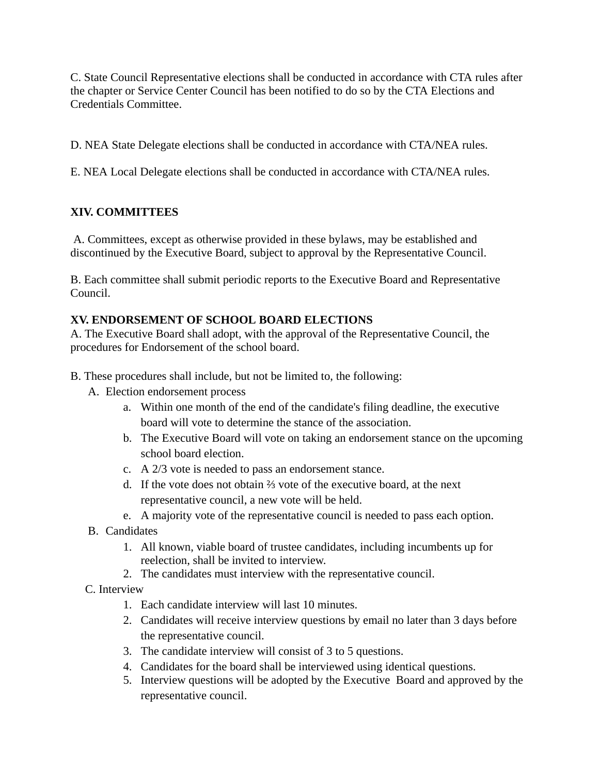C. State Council Representative elections shall be conducted in accordance with CTA rules after the chapter or Service Center Council has been notified to do so by the CTA Elections and Credentials Committee.

D. NEA State Delegate elections shall be conducted in accordance with CTA/NEA rules.

E. NEA Local Delegate elections shall be conducted in accordance with CTA/NEA rules.

# **XIV. COMMITTEES**

A. Committees, except as otherwise provided in these bylaws, may be established and discontinued by the Executive Board, subject to approval by the Representative Council.

B. Each committee shall submit periodic reports to the Executive Board and Representative Council.

# **XV. ENDORSEMENT OF SCHOOL BOARD ELECTIONS**

A. The Executive Board shall adopt, with the approval of the Representative Council, the procedures for Endorsement of the school board.

- B. These procedures shall include, but not be limited to, the following:
	- A. Election endorsement process
		- a. Within one month of the end of the candidate's filing deadline, the executive board will vote to determine the stance of the association.
		- b. The Executive Board will vote on taking an endorsement stance on the upcoming school board election.
		- c. A 2/3 vote is needed to pass an endorsement stance.
		- d. If the vote does not obtain ⅔ vote of the executive board, at the next representative council, a new vote will be held.
		- e. A majority vote of the representative council is needed to pass each option.
	- B. Candidates
		- 1. All known, viable board of trustee candidates, including incumbents up for reelection, shall be invited to interview.
		- 2. The candidates must interview with the representative council.
	- C. Interview
		- 1. Each candidate interview will last 10 minutes.
		- 2. Candidates will receive interview questions by email no later than 3 days before the representative council.
		- 3. The candidate interview will consist of 3 to 5 questions.
		- 4. Candidates for the board shall be interviewed using identical questions.
		- 5. Interview questions will be adopted by the Executive Board and approved by the representative council.